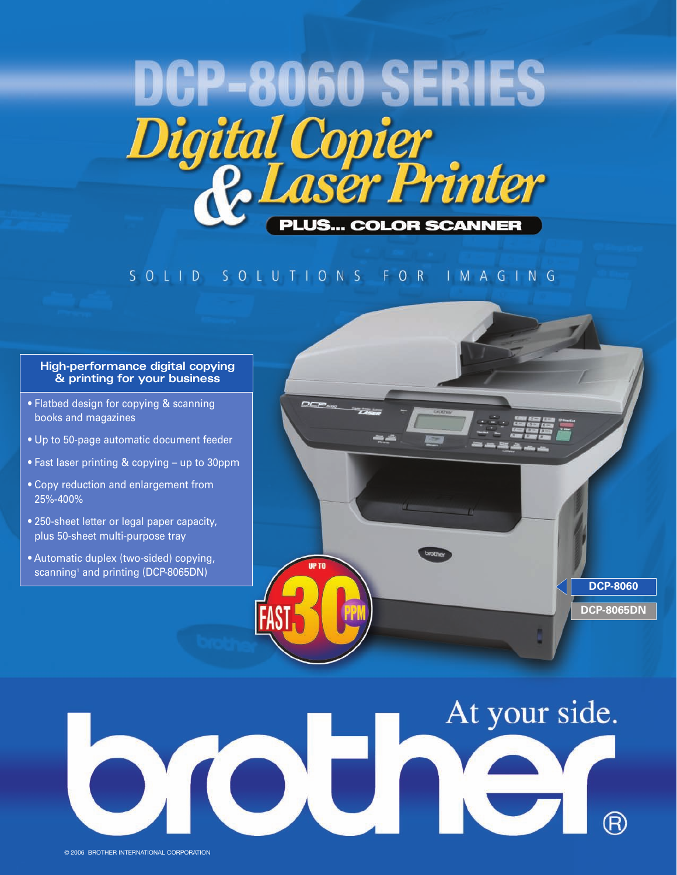

#### SOLID SOLUTIONS FOR IMAGING

#### **High-performance digital copying & printing for your business**

- Flatbed design for copying & scanning books and magazines
- Up to 50-page automatic document feeder
- Fast laser printing & copying up to 30ppm
- Copy reduction and enlargement from 25%-400%
- 250-sheet letter or legal paper capacity, plus 50-sheet multi-purpose tray
- Automatic duplex (two-sided) copying, scanning<sup>1</sup> and printing (DCP-8065DN)



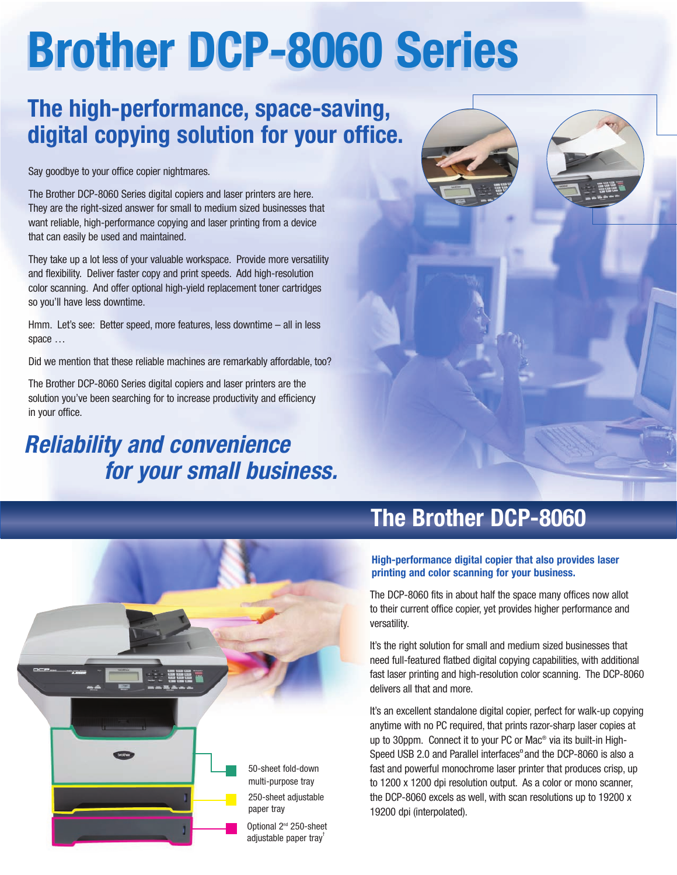# **Brother DCP-8060 Series Brother DCP-8060 Series**

### **The high-performance, space-saving, digital copying solution for your office.**

Say goodbye to your office copier nightmares.

The Brother DCP-8060 Series digital copiers and laser printers are here. They are the right-sized answer for small to medium sized businesses that want reliable, high-performance copying and laser printing from a device that can easily be used and maintained.

They take up a lot less of your valuable workspace. Provide more versatility and flexibility. Deliver faster copy and print speeds. Add high-resolution color scanning. And offer optional high-yield replacement toner cartridges so you'll have less downtime.

Hmm. Let's see: Better speed, more features, less downtime – all in less space …

Did we mention that these reliable machines are remarkably affordable, too?

The Brother DCP-8060 Series digital copiers and laser printers are the solution you've been searching for to increase productivity and efficiency in your office.

### **Reliability and convenience for your small business.**



### **The Brother DCP-8060**

#### **High-performance digital copier that also provides laser printing and color scanning for your business.**

The DCP-8060 fits in about half the space many offices now allot to their current office copier, yet provides higher performance and versatility.

It's the right solution for small and medium sized businesses that need full-featured flatbed digital copying capabilities, with additional fast laser printing and high-resolution color scanning. The DCP-8060 delivers all that and more.

It's an excellent standalone digital copier, perfect for walk-up copying anytime with no PC required, that prints razor-sharp laser copies at up to 30ppm. Connect it to your PC or Mac® via its built-in High-Speed USB 2.0 and Parallel interfaces<sup>"</sup> and the DCP-8060 is also a fast and powerful monochrome laser printer that produces crisp, up to 1200 x 1200 dpi resolution output. As a color or mono scanner, the DCP-8060 excels as well, with scan resolutions up to 19200 x 19200 dpi (interpolated).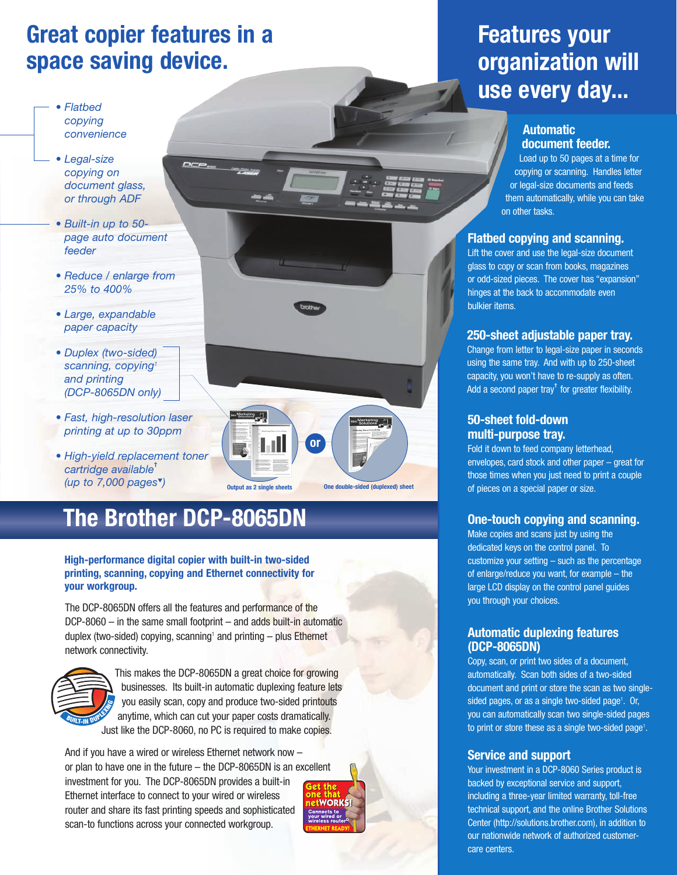### **Great copier features in a space saving device.**

- *Flatbed copying convenience*
- *Legal-size copying on document glass, or through ADF*
- *Built-in up to 50 page auto document feeder*
- *Reduce / enlarge from 25% to 400%*
- *Large, expandable paper capacity*
- *Duplex (two-sided) scanning, copying1 and printing (DCP-8065DN only)*
- *Fast, high-resolution laser printing at up to 30ppm*
- *High-yield replacement toner cartridge available***†** *(up to 7,000 pages*▼*)*

### **The Brother DCP-8065DN**

#### **High-performance digital copier with built-in two-sided printing, scanning, copying and Ethernet connectivity for your workgroup.**

The DCP-8065DN offers all the features and performance of the DCP-8060 – in the same small footprint – and adds built-in automatic duplex (two-sided) copying, scanning<sup>1</sup> and printing  $-$  plus Ethernet network connectivity.



This makes the DCP-8065DN a great choice for growing businesses. Its built-in automatic duplexing feature lets you easily scan, copy and produce two-sided printouts anytime, which can cut your paper costs dramatically. Just like the DCP-8060, no PC is required to make copies.

And if you have a wired or wireless Ethernet network now – or plan to have one in the future – the DCP-8065DN is an excellent investment for you. The DCP-8065DN provides a built-in Ethernet interface to connect to your wired or wireless router and share its fast printing speeds and sophisticated scan-to functions across your connected workgroup.



**Output as 2 single sheets One double-sided (duplexed) sheet** 

**or**

### **Features your organization will use every day...**

#### **Automatic document feeder.**

Load up to 50 pages at a time for copying or scanning. Handles letter or legal-size documents and feeds them automatically, while you can take on other tasks.

#### **Flatbed copying and scanning.**

Lift the cover and use the legal-size document glass to copy or scan from books, magazines or odd-sized pieces. The cover has "expansion" hinges at the back to accommodate even bulkier items.

#### **250-sheet adjustable paper tray.**

Change from letter to legal-size paper in seconds using the same tray. And with up to 250-sheet capacity, you won't have to re-supply as often. Add a second paper tray**†** for greater flexibility.

#### **50-sheet fold-down multi-purpose tray.**

Fold it down to feed company letterhead, envelopes, card stock and other paper – great for those times when you just need to print a couple of pieces on a special paper or size.

#### **One-touch copying and scanning.**

Make copies and scans just by using the dedicated keys on the control panel. To customize your setting – such as the percentage of enlarge/reduce you want, for example – the large LCD display on the control panel guides you through your choices.

#### **Automatic duplexing features (DCP-8065DN)**

Copy, scan, or print two sides of a document, automatically. Scan both sides of a two-sided document and print or store the scan as two singlesided pages, or as a single two-sided page<sup>1</sup>. Or, you can automatically scan two single-sided pages to print or store these as a single two-sided page<sup>1</sup>.

#### **Service and support**

Your investment in a DCP-8060 Series product is backed by exceptional service and support, including a three-year limited warranty, toll-free technical support, and the online Brother Solutions Center (http://solutions.brother.com), in addition to our nationwide network of authorized customercare centers.